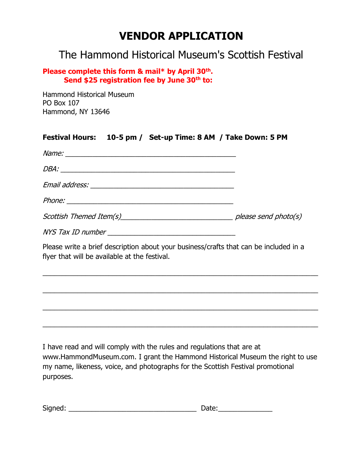# **VENDOR APPLICATION**

## The Hammond Historical Museum's Scottish Festival

#### **Please complete this form & mail\* by April 30th . Send \$25 registration fee by June 30th to:**

Hammond Historical Museum PO Box 107 Hammond, NY 13646

| Festival Hours: 10-5 pm / Set-up Time: 8 AM / Take Down: 5 PM                                                                                                                                                                  |  |
|--------------------------------------------------------------------------------------------------------------------------------------------------------------------------------------------------------------------------------|--|
| Name: Name and the contract of the contract of the contract of the contract of the contract of the contract of the contract of the contract of the contract of the contract of the contract of the contract of the contract of |  |
|                                                                                                                                                                                                                                |  |
|                                                                                                                                                                                                                                |  |
|                                                                                                                                                                                                                                |  |
|                                                                                                                                                                                                                                |  |
|                                                                                                                                                                                                                                |  |
| Please write a brief description about your business/crafts that can be included in a<br>flyer that will be available at the festival.                                                                                         |  |
|                                                                                                                                                                                                                                |  |
|                                                                                                                                                                                                                                |  |
|                                                                                                                                                                                                                                |  |
|                                                                                                                                                                                                                                |  |

I have read and will comply with the rules and regulations that are at www.HammondMuseum.com. I grant the Hammond Historical Museum the right to use my name, likeness, voice, and photographs for the Scottish Festival promotional purposes.

| Signed: | .<br>яе |
|---------|---------|
|---------|---------|